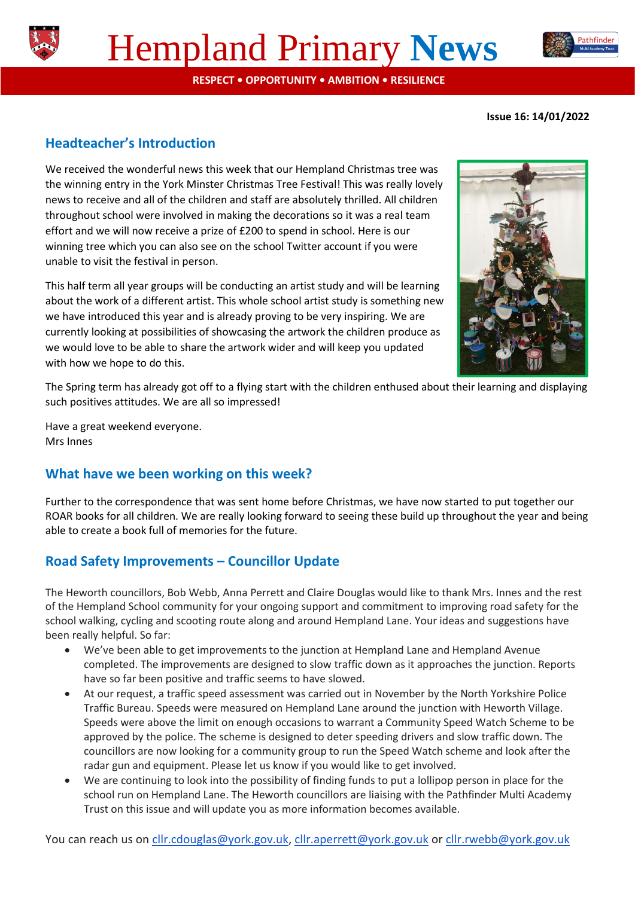

# Hempland Primary **News**

**RESPECT • OPPORTUNITY • AMBITION • RESILIENCE**

**Issue 16: 14/01/2022**

Pathfinder

## **Headteacher's Introduction**

We received the wonderful news this week that our Hempland Christmas tree was the winning entry in the York Minster Christmas Tree Festival! This was really lovely news to receive and all of the children and staff are absolutely thrilled. All children throughout school were involved in making the decorations so it was a real team effort and we will now receive a prize of £200 to spend in school. Here is our winning tree which you can also see on the school Twitter account if you were unable to visit the festival in person.

This half term all year groups will be conducting an artist study and will be learning about the work of a different artist. This whole school artist study is something new we have introduced this year and is already proving to be very inspiring. We are currently looking at possibilities of showcasing the artwork the children produce as we would love to be able to share the artwork wider and will keep you updated with how we hope to do this.



The Spring term has already got off to a flying start with the children enthused about their learning and displaying such positives attitudes. We are all so impressed!

Have a great weekend everyone. Mrs Innes

## **What have we been working on this week?**

Further to the correspondence that was sent home before Christmas, we have now started to put together our ROAR books for all children. We are really looking forward to seeing these build up throughout the year and being able to create a book full of memories for the future.

## **Road Safety Improvements – Councillor Update**

The Heworth councillors, Bob Webb, Anna Perrett and Claire Douglas would like to thank Mrs. Innes and the rest of the Hempland School community for your ongoing support and commitment to improving road safety for the school walking, cycling and scooting route along and around Hempland Lane. Your ideas and suggestions have been really helpful. So far:

- We've been able to get improvements to the junction at Hempland Lane and Hempland Avenue completed. The improvements are designed to slow traffic down as it approaches the junction. Reports have so far been positive and traffic seems to have slowed.
- At our request, a traffic speed assessment was carried out in November by the North Yorkshire Police Traffic Bureau. Speeds were measured on Hempland Lane around the junction with Heworth Village. Speeds were above the limit on enough occasions to warrant a Community Speed Watch Scheme to be approved by the police. The scheme is designed to deter speeding drivers and slow traffic down. The councillors are now looking for a community group to run the Speed Watch scheme and look after the radar gun and equipment. Please let us know if you would like to get involved.
- We are continuing to look into the possibility of finding funds to put a lollipop person in place for the school run on Hempland Lane. The Heworth councillors are liaising with the Pathfinder Multi Academy Trust on this issue and will update you as more information becomes available.

You can reach us on [cllr.cdouglas@york.gov.uk,](mailto:cllr.cdouglas@york.gov.uk) [cllr.aperrett@york.gov.uk](mailto:cllr.aperrett@york.gov.uk) or [cllr.rwebb@york.gov.uk](mailto:cllr.rwebb@york.gov.uk)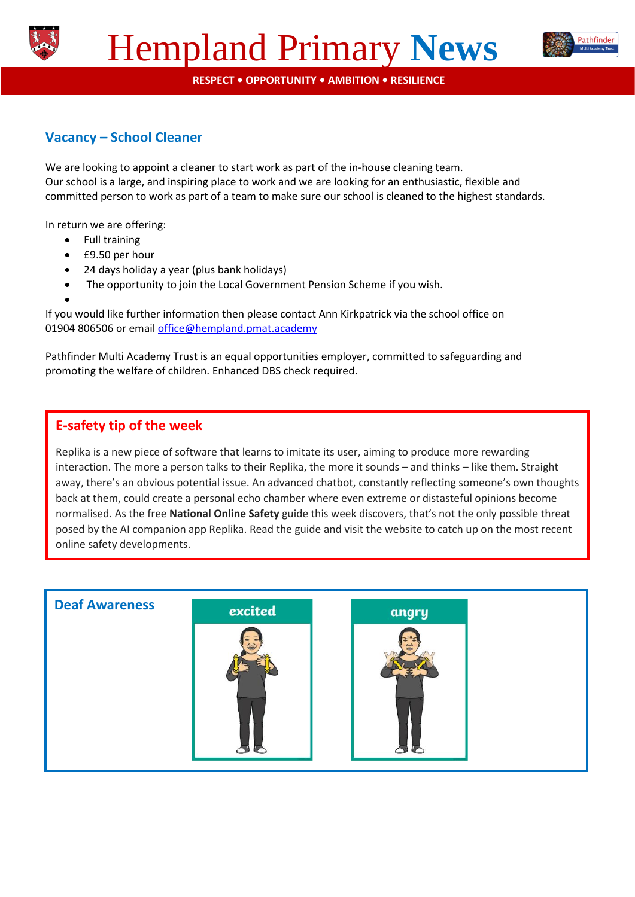



**RESPECT • OPPORTUNITY • AMBITION • RESILIENCE**

# **Vacancy – School Cleaner**

We are looking to appoint a cleaner to start work as part of the in-house cleaning team. Our school is a large, and inspiring place to work and we are looking for an enthusiastic, flexible and committed person to work as part of a team to make sure our school is cleaned to the highest standards.

In return we are offering:

- Full training
- £9.50 per hour
- 24 days holiday a year (plus bank holidays)
- The opportunity to join the Local Government Pension Scheme if you wish.
- $\bullet$

If you would like further information then please contact Ann Kirkpatrick via the school office on 01904 806506 or email [office@hempland.pmat.academy](mailto:office@hempland.pmat.academy)

Pathfinder Multi Academy Trust is an equal opportunities employer, committed to safeguarding and promoting the welfare of children. Enhanced DBS check required.

### **E-safety tip of the week**

Replika is a new piece of software that learns to imitate its user, aiming to produce more rewarding interaction. The more a person talks to their Replika, the more it sounds – and thinks – like them. Straight away, there's an obvious potential issue. An advanced chatbot, constantly reflecting someone's own thoughts back at them, could create a personal echo chamber where even extreme or distasteful opinions become normalised. As the free **National Online Safety** guide this week discovers, that's not the only possible threat posed by the AI companion app Replika. Read the guide and visit the website to catch up on the most recent online safety developments.